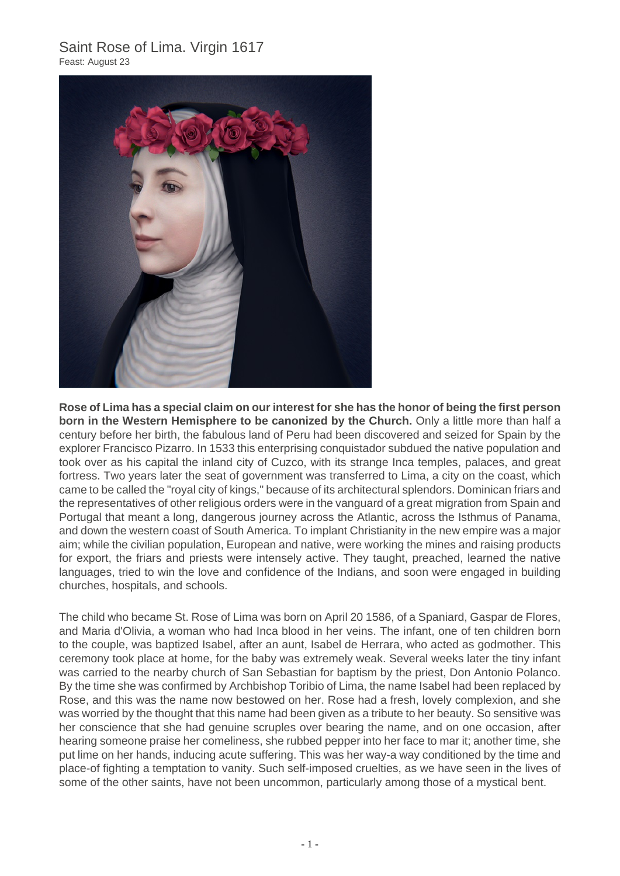## Saint Rose of Lima. Virgin 1617

Feast: August 23



**Rose of Lima has a special claim on our interest for she has the honor of being the first person born in the Western Hemisphere to be canonized by the Church.** Only a little more than half a century before her birth, the fabulous land of Peru had been discovered and seized for Spain by the explorer Francisco Pizarro. In 1533 this enterprising conquistador subdued the native population and took over as his capital the inland city of Cuzco, with its strange Inca temples, palaces, and great fortress. Two years later the seat of government was transferred to Lima, a city on the coast, which came to be called the "royal city of kings," because of its architectural splendors. Dominican friars and the representatives of other religious orders were in the vanguard of a great migration from Spain and Portugal that meant a long, dangerous journey across the Atlantic, across the Isthmus of Panama, and down the western coast of South America. To implant Christianity in the new empire was a major aim; while the civilian population, European and native, were working the mines and raising products for export, the friars and priests were intensely active. They taught, preached, learned the native languages, tried to win the love and confidence of the Indians, and soon were engaged in building churches, hospitals, and schools.

The child who became St. Rose of Lima was born on April 20 1586, of a Spaniard, Gaspar de Flores, and Maria d'Olivia, a woman who had Inca blood in her veins. The infant, one of ten children born to the couple, was baptized Isabel, after an aunt, Isabel de Herrara, who acted as godmother. This ceremony took place at home, for the baby was extremely weak. Several weeks later the tiny infant was carried to the nearby church of San Sebastian for baptism by the priest, Don Antonio Polanco. By the time she was confirmed by Archbishop Toribio of Lima, the name Isabel had been replaced by Rose, and this was the name now bestowed on her. Rose had a fresh, lovely complexion, and she was worried by the thought that this name had been given as a tribute to her beauty. So sensitive was her conscience that she had genuine scruples over bearing the name, and on one occasion, after hearing someone praise her comeliness, she rubbed pepper into her face to mar it; another time, she put lime on her hands, inducing acute suffering. This was her way-a way conditioned by the time and place-of fighting a temptation to vanity. Such self-imposed cruelties, as we have seen in the lives of some of the other saints, have not been uncommon, particularly among those of a mystical bent.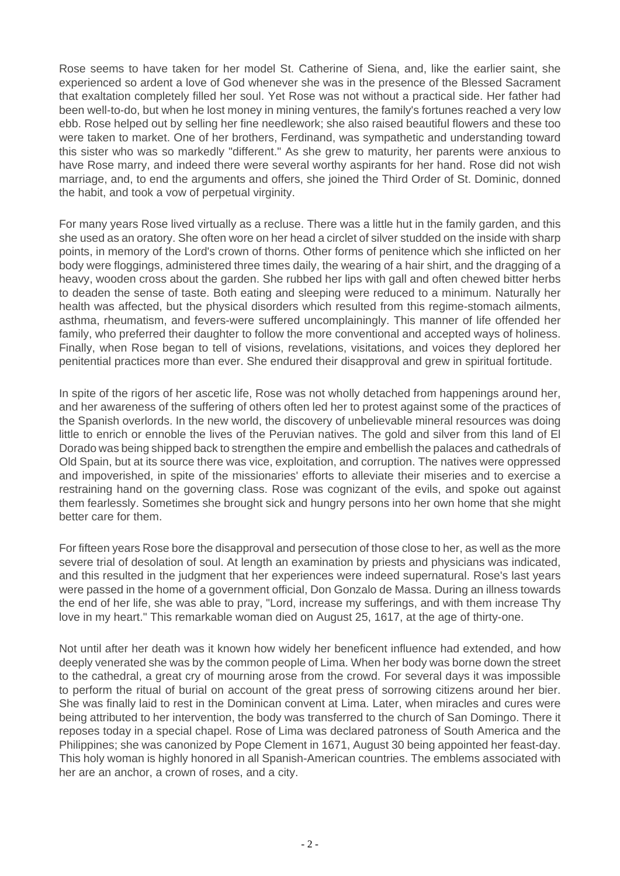Rose seems to have taken for her model St. Catherine of Siena, and, like the earlier saint, she experienced so ardent a love of God whenever she was in the presence of the Blessed Sacrament that exaltation completely filled her soul. Yet Rose was not without a practical side. Her father had been well-to-do, but when he lost money in mining ventures, the family's fortunes reached a very low ebb. Rose helped out by selling her fine needlework; she also raised beautiful flowers and these too were taken to market. One of her brothers, Ferdinand, was sympathetic and understanding toward this sister who was so markedly "different." As she grew to maturity, her parents were anxious to have Rose marry, and indeed there were several worthy aspirants for her hand. Rose did not wish marriage, and, to end the arguments and offers, she joined the Third Order of St. Dominic, donned the habit, and took a vow of perpetual virginity.

For many years Rose lived virtually as a recluse. There was a little hut in the family garden, and this she used as an oratory. She often wore on her head a circlet of silver studded on the inside with sharp points, in memory of the Lord's crown of thorns. Other forms of penitence which she inflicted on her body were floggings, administered three times daily, the wearing of a hair shirt, and the dragging of a heavy, wooden cross about the garden. She rubbed her lips with gall and often chewed bitter herbs to deaden the sense of taste. Both eating and sleeping were reduced to a minimum. Naturally her health was affected, but the physical disorders which resulted from this regime-stomach ailments, asthma, rheumatism, and fevers-were suffered uncomplainingly. This manner of life offended her family, who preferred their daughter to follow the more conventional and accepted ways of holiness. Finally, when Rose began to tell of visions, revelations, visitations, and voices they deplored her penitential practices more than ever. She endured their disapproval and grew in spiritual fortitude.

In spite of the rigors of her ascetic life, Rose was not wholly detached from happenings around her, and her awareness of the suffering of others often led her to protest against some of the practices of the Spanish overlords. In the new world, the discovery of unbelievable mineral resources was doing little to enrich or ennoble the lives of the Peruvian natives. The gold and silver from this land of El Dorado was being shipped back to strengthen the empire and embellish the palaces and cathedrals of Old Spain, but at its source there was vice, exploitation, and corruption. The natives were oppressed and impoverished, in spite of the missionaries' efforts to alleviate their miseries and to exercise a restraining hand on the governing class. Rose was cognizant of the evils, and spoke out against them fearlessly. Sometimes she brought sick and hungry persons into her own home that she might better care for them.

For fifteen years Rose bore the disapproval and persecution of those close to her, as well as the more severe trial of desolation of soul. At length an examination by priests and physicians was indicated, and this resulted in the judgment that her experiences were indeed supernatural. Rose's last years were passed in the home of a government official, Don Gonzalo de Massa. During an illness towards the end of her life, she was able to pray, "Lord, increase my sufferings, and with them increase Thy love in my heart." This remarkable woman died on August 25, 1617, at the age of thirty-one.

Not until after her death was it known how widely her beneficent influence had extended, and how deeply venerated she was by the common people of Lima. When her body was borne down the street to the cathedral, a great cry of mourning arose from the crowd. For several days it was impossible to perform the ritual of burial on account of the great press of sorrowing citizens around her bier. She was finally laid to rest in the Dominican convent at Lima. Later, when miracles and cures were being attributed to her intervention, the body was transferred to the church of San Domingo. There it reposes today in a special chapel. Rose of Lima was declared patroness of South America and the Philippines; she was canonized by Pope Clement in 1671, August 30 being appointed her feast-day. This holy woman is highly honored in all Spanish-American countries. The emblems associated with her are an anchor, a crown of roses, and a city.